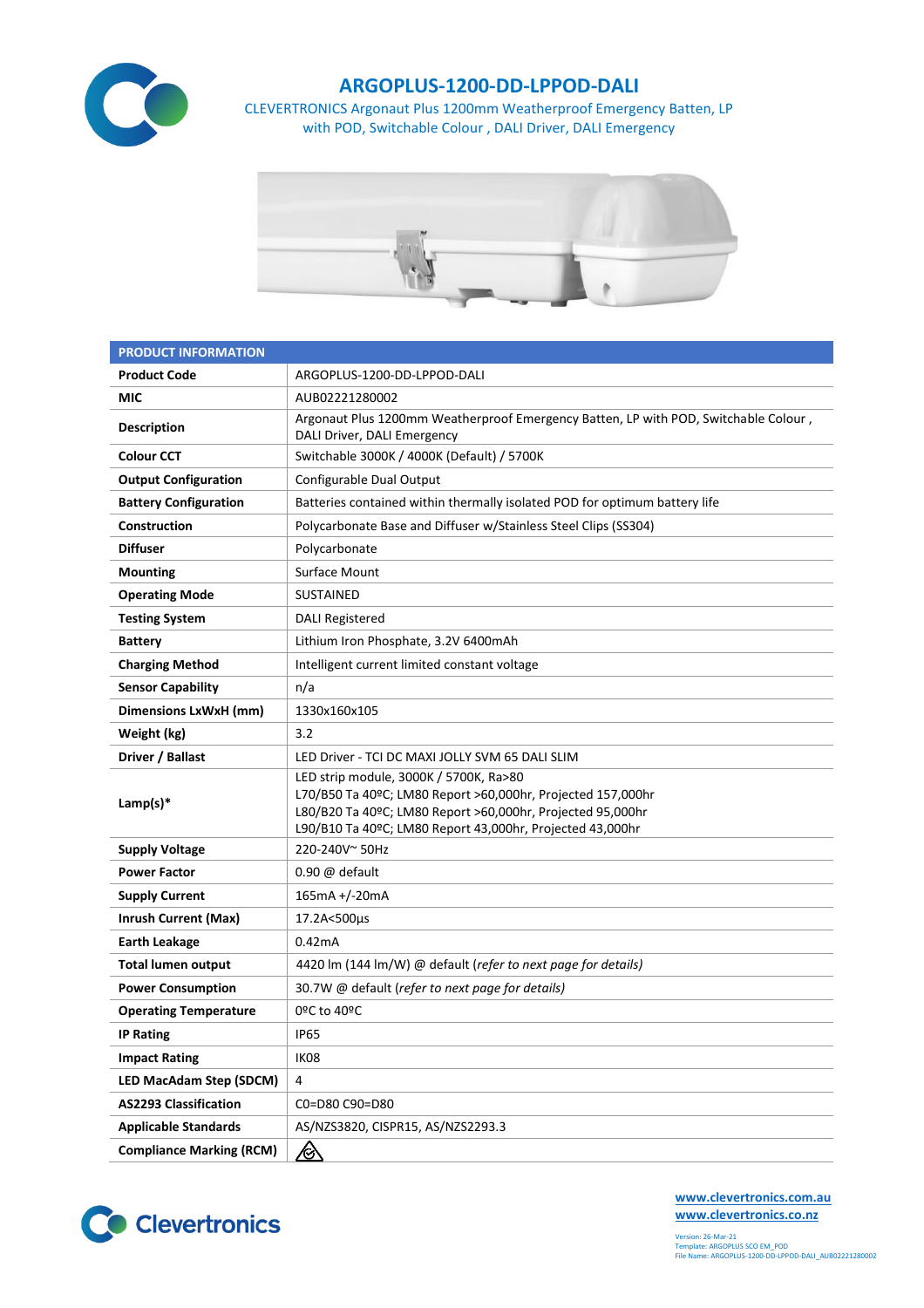

## **ARGOPLUS-1200-DD-LPPOD-DALI**

CLEVERTRONICS Argonaut Plus 1200mm Weatherproof Emergency Batten, LP with POD, Switchable Colour , DALI Driver, DALI Emergency



| <b>PRODUCT INFORMATION</b>      |                                                                                                                                                                                                                                  |  |  |  |  |
|---------------------------------|----------------------------------------------------------------------------------------------------------------------------------------------------------------------------------------------------------------------------------|--|--|--|--|
| <b>Product Code</b>             | ARGOPLUS-1200-DD-LPPOD-DALI                                                                                                                                                                                                      |  |  |  |  |
| <b>MIC</b>                      | AUB02221280002                                                                                                                                                                                                                   |  |  |  |  |
| <b>Description</b>              | Argonaut Plus 1200mm Weatherproof Emergency Batten, LP with POD, Switchable Colour,<br>DALI Driver, DALI Emergency                                                                                                               |  |  |  |  |
| <b>Colour CCT</b>               | Switchable 3000K / 4000K (Default) / 5700K                                                                                                                                                                                       |  |  |  |  |
| <b>Output Configuration</b>     | Configurable Dual Output                                                                                                                                                                                                         |  |  |  |  |
| <b>Battery Configuration</b>    | Batteries contained within thermally isolated POD for optimum battery life                                                                                                                                                       |  |  |  |  |
| Construction                    | Polycarbonate Base and Diffuser w/Stainless Steel Clips (SS304)                                                                                                                                                                  |  |  |  |  |
| <b>Diffuser</b>                 | Polycarbonate                                                                                                                                                                                                                    |  |  |  |  |
| <b>Mounting</b>                 | <b>Surface Mount</b>                                                                                                                                                                                                             |  |  |  |  |
| <b>Operating Mode</b>           | <b>SUSTAINED</b>                                                                                                                                                                                                                 |  |  |  |  |
| <b>Testing System</b>           | <b>DALI Registered</b>                                                                                                                                                                                                           |  |  |  |  |
| <b>Battery</b>                  | Lithium Iron Phosphate, 3.2V 6400mAh                                                                                                                                                                                             |  |  |  |  |
| <b>Charging Method</b>          | Intelligent current limited constant voltage                                                                                                                                                                                     |  |  |  |  |
| <b>Sensor Capability</b>        | n/a                                                                                                                                                                                                                              |  |  |  |  |
| <b>Dimensions LxWxH (mm)</b>    | 1330x160x105                                                                                                                                                                                                                     |  |  |  |  |
| Weight (kg)                     | 3.2                                                                                                                                                                                                                              |  |  |  |  |
| Driver / Ballast                | LED Driver - TCI DC MAXI JOLLY SVM 65 DALI SLIM                                                                                                                                                                                  |  |  |  |  |
| Lamp(s) $*$                     | LED strip module, 3000K / 5700K, Ra>80<br>L70/B50 Ta 40ºC; LM80 Report >60,000hr, Projected 157,000hr<br>L80/B20 Ta 40ºC; LM80 Report >60,000hr, Projected 95,000hr<br>L90/B10 Ta 40ºC; LM80 Report 43,000hr, Projected 43,000hr |  |  |  |  |
| <b>Supply Voltage</b>           | 220-240V~50Hz                                                                                                                                                                                                                    |  |  |  |  |
| <b>Power Factor</b>             | $0.90 \omega$ default                                                                                                                                                                                                            |  |  |  |  |
| <b>Supply Current</b>           | 165mA +/-20mA                                                                                                                                                                                                                    |  |  |  |  |
| <b>Inrush Current (Max)</b>     | 17.2A<500µs                                                                                                                                                                                                                      |  |  |  |  |
| <b>Earth Leakage</b>            | 0.42mA                                                                                                                                                                                                                           |  |  |  |  |
| <b>Total lumen output</b>       | 4420 lm (144 lm/W) @ default (refer to next page for details)                                                                                                                                                                    |  |  |  |  |
| <b>Power Consumption</b>        | 30.7W @ default (refer to next page for details)                                                                                                                                                                                 |  |  |  |  |
| <b>Operating Temperature</b>    | 0ºC to 40ºC                                                                                                                                                                                                                      |  |  |  |  |
| <b>IP Rating</b>                | <b>IP65</b>                                                                                                                                                                                                                      |  |  |  |  |
| <b>Impact Rating</b>            | IK08                                                                                                                                                                                                                             |  |  |  |  |
| <b>LED MacAdam Step (SDCM)</b>  | 4                                                                                                                                                                                                                                |  |  |  |  |
| <b>AS2293 Classification</b>    | C0=D80 C90=D80                                                                                                                                                                                                                   |  |  |  |  |
| <b>Applicable Standards</b>     | AS/NZS3820, CISPR15, AS/NZS2293.3                                                                                                                                                                                                |  |  |  |  |
| <b>Compliance Marking (RCM)</b> | <u>⁄⊗</u>                                                                                                                                                                                                                        |  |  |  |  |



**[www.clevertronics.com.au](http://www.clevertronics.com.au/) www.clevertronics.co.nz**

Version: 26-Mar-21 Template: ARGOPLUS SCO EM\_POD File Name: ARGOPLUS-1200-DD-LPPOD-DALI\_AUB02221280002